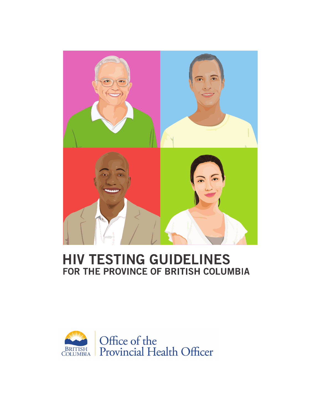

## **HIV TESTING GUIDELINES** FOR THE PROVINCE OF BRITISH COLUMBIA

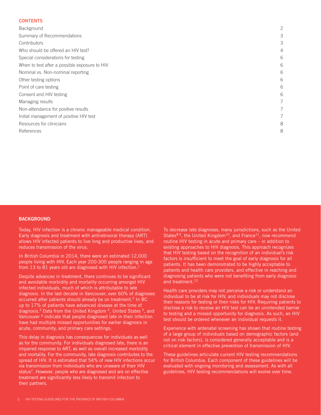#### **CONTENTS**

| Background                                    | 2 |
|-----------------------------------------------|---|
| Summary of Recommendations                    | 3 |
| Contributors                                  | 3 |
| Who should be offered an HIV test?            | 4 |
| Special considerations for testing            | 6 |
| When to test after a possible exposure to HIV | 6 |
| Nominal vs. Non-nominal reporting             | 6 |
| Other testing options                         | 6 |
| Point of care testing                         | 6 |
| Consent and HIV testing                       | 6 |
| Managing results                              | 7 |
| Non-attendance for positive results           | 7 |
| Initial management of positive HIV test       | 7 |
| Resources for clinicians                      | 8 |
| References                                    | 8 |
|                                               |   |

#### **BACKGROUND**

Today, HIV infection is a chronic manageable medical condition. Early diagnosis and treatment with antiretroviral therapy (ART) allows HIV infected patients to live long and productive lives, and reduces transmission of the virus.

In British Columbia in 2014, there were an estimated 12,000 people living with HIV. Each year 200-300 people ranging in age from 13 to 81 years old are diagnosed with HIV infection.<sup>1</sup>

Despite advances in treatment, there continues to be significant and avoidable morbidity and mortality occurring amongst HIV infected individuals, much of which is attributable to late diagnosis. In the last decade in Vancouver, over 60% of diagnoses occurred after patients should already be on treatment.<sup>2</sup> In BC up to 17% of patients have advanced disease at the time of diagnosis.<sup>3</sup> Data from the United Kingdom<sup>4</sup>, United States<sup>5</sup>, and Vancouver <sup>6</sup> indicate that people diagnosed late in their infection have had multiple missed opportunities for earlier diagnosis in acute, community, and primary care settings.

This delay in diagnosis has consequences for individuals as well as for the community. For individuals diagnosed late, there is an impaired response to ART, as well as overall increased morbidity and mortality. For the community, late diagnosis contributes to the spread of HIV. It is estimated that 54% of new HIV infections occur via transmission from individuals who are unaware of their HIV status<sup>7</sup>. However, people who are diagnosed and are on effective treatment are significantly less likely to transmit infection to their partners.

To decrease late diagnoses, many jurisdictions, such as the United States $8,9$ , the United Kingdom<sup>10</sup>, and France<sup>11</sup>, now recommend routine HIV testing in acute and primary care – in addition to existing approaches to HIV diagnosis. This approach recognizes that HIV testing based on the recognition of an individual's risk factors is insufficient to meet the goal of early diagnosis for all patients. It has been demonstrated to be highly acceptable to patients and health care providers, and effective in reaching and diagnosing patients who were not benefiting from early diagnosis and treatment.<sup>12</sup>

Health care providers may not perceive a risk or understand an individual to be at risk for HIV, and individuals may not disclose their reasons for testing or their risks for HIV. Requiring patients to disclose a risk to receive an HIV test can be an unintended barrier to testing and a missed opportunity for diagnosis. As such, an HIV test should be ordered whenever an individual requests it.

Experience with antenatal screening has shown that routine testing of a large group of individuals based on demographic factors (and not on risk factors), is considered generally acceptable and is a critical element in effective prevention of transmission of HIV.

These guidelines articulate current HIV testing recommendations for British Columbia. Each component of these guidelines will be evaluated with ongoing monitoring and assessment. As with all guidelines, HIV testing recommendations will evolve over time.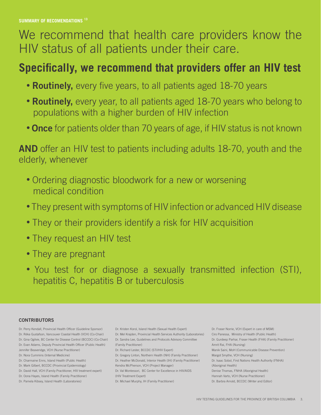# We recommend that health care providers know the HIV status of all patients under their care.

## **Specifically, we recommend that providers offer an HIV test**

- **Routinely,** every five years, to all patients aged 18-70 years
- **Routinely,** every year, to all patients aged 18-70 years who belong to populations with a higher burden of HIV infection
- **Once** for patients older than 70 years of age, if HIV status is not known

**AND** offer an HIV test to patients including adults 18-70, youth and the elderly, whenever

- Ordering diagnostic bloodwork for a new or worsening medical condition
- They present with symptoms of HIV infection or advanced HIV disease
- They or their providers identify a risk for HIV acquisition
- They request an HIV test
- They are pregnant
- You test for or diagnose a sexually transmitted infection (STI), hepatitis C, hepatitis B or tuberculosis

## **CONTRIBUTORS**

- Dr. Perry Kendall, Provincial Health Officer (Guideline Sponsor) Dr. Réka Gustafson, Vancouver Coastal Health (VCH) (Co-Chair) Dr. Gina Ogilvie, BC Center for Disease Control (BCCDC) (Co-Chair) Dr. Evan Adams, Deputy Provincial Health Officer (Public Health) Jennifer Beaveridge, VCH (Nurse Practitioner) Dr. Nora Cummins (Internal Medicine)
- Dr. Charmaine Enns, Island Health (Public Health)
- Dr. Mark Gilbert, BCCDC (Provincial Epidemiology)
- Dr. David Hall, VCH (Family Practitioner, HIV treatment expert) Dr. Oona Hayes, Island Health (Family Practitioner)
- Dr. Pamela Kibsey, Island Health (Laboratories)

Dr. Kristen Korol, Island Health (Sexual Health Expert) Dr. Mel Krajden, Provincial Health Services Authority (Laboratories) Dr. Sandra Lee, Guidelines and Protocols Advisory Committee (Family Practitioner) Dr. Richard Lester, BCCDC (STI/HIV Expert) Dr. Gregory Linton, Northern Health (NH) (Family Practitioner) Dr. Heather McDonald, Interior Health (IH) (Family Practitioner) Kendra McPherson, VCH (Project Manager) Dr. Val Montessori, BC Center for Excellence in HIV/AIDS (HIV Treatment Expert)

Dr. Michael Murphy, IH (Family Practitioner)

Dr. Fraser Norrie, VCH (Expert in care of MSM) Ciro Panessa, Ministry of Health (Public Health) Dr. Gurdeep Parhar, Fraser Health (FHA) (Family Practitioner) Amrit Rai, FHA (Nursing) Manik Saini, MoH (Communicable Disease Prevention) Margot Smythe, VCH (Nursing) Dr. Isaac Sobol, First Nations Health Authority (FNHA) (Aboriginal Health) Denise Thomas, FNHA (Aboriginal Health) Hannah Varto, VCH (Nurse Practitioner) Dr. Barbra Arnold, BCCDC (Writer and Editor)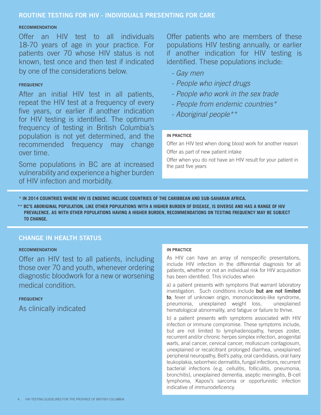## **ROUTINE TESTING FOR HIV - INDIVIDUALS PRESENTING FOR CARE**

#### **RECOMMENDATION**

Offer an HIV test to all individuals 18-70 years of age in your practice. For patients over 70 whose HIV status is not known, test once and then test if indicated by one of the considerations below.

### **FREQUENCY**

After an initial HIV test in all patients, repeat the HIV test at a frequency of every five years, or earlier if another indication for HIV testing is identified. The optimum frequency of testing in British Columbia's population is not yet determined, and the recommended frequency may change over time.

Some populations in BC are at increased vulnerability and experience a higher burden of HIV infection and morbidity.

Offer patients who are members of these populations HIV testing annually, or earlier if another indication for HIV testing is identified. These populations include:

- *Gay men*
- *People who inject drugs*
- *People who work in the sex trade*
- *People from endemic countries\**
- *Aboriginal people\*\**

### **IN PRACTICE**

Offer an HIV test when doing blood work for another reason Offer as part of new patient intake

Offer when you do not have an HIV result for your patient in the past five years

 **\* IN 2014 COUNTRIES WHERE HIV IS ENDEMIC INCLUDE COUNTRIES OF THE CARIBBEAN AND SUB-SAHARAN AFRICA.** 

**\*\* BC'S ABORIGINAL POPULATION, LIKE OTHER POPULATIONS WITH A HIGHER BURDEN OF DISEASE, IS DIVERSE AND HAS A RANGE OF HIV PREVALENCE. AS WITH OTHER POPULATIONS HAVING A HIGHER BURDEN, RECOMMENDATIONS ON TESTING FREQUENCY MAY BE SUBJECT TO CHANGE.**

## **CHANGE IN HEALTH STATUS**

### **RECOMMENDATION**

Offer an HIV test to all patients, including those over 70 and youth, whenever ordering diagnostic bloodwork for a new or worsening medical condition.

### **FREQUENCY**

As clinically indicated

## **IN PRACTICE**

As HIV can have an array of nonspecific presentations, include HIV infection in the differential diagnosis for all patients, whether or not an individual risk for HIV acquisition has been identified. This includes when

a) a patient presents with symptoms that warrant laboratory investigation. Such conditions include **but are not limited to**; fever of unknown origin, mononucleosis-like syndrome, pneumonia, unexplained weight loss, unexplained hematological abnormality, and fatigue or failure to thrive.

b) a patient presents with symptoms associated with HIV infection or immune compromise. These symptoms include, but are not limited to lymphadenopathy, herpes zoster, recurrent and/or chronic herpes simplex infection, anogenital warts, anal cancer, cervical cancer, molluscum contagiosum, unexplained or recalcitrant prolonged diarrhea, unexplained peripheral neuropathy, Bell's palsy, oral candidiasis, oral hairy leukoplakia, seborrheic dermatitis, fungal infections, recurrent bacterial infections (e.g. cellulitis, folliculitis, pneumonia, bronchitis), unexplained dementia, aseptic meningitis, B-cell lymphoma, Kaposi's sarcoma or opportunistic infection indicative of immunodeficency.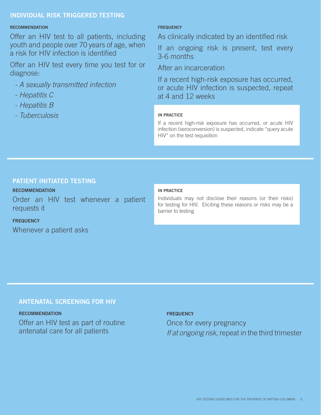## **INDIVIDUAL RISK TRIGGERED TESTING**

#### **RECOMMENDATION**

Offer an HIV test to all patients, including youth and people over 70 years of age, when a risk for HIV infection is identified

Offer an HIV test every time you test for or diagnose:

- *A sexually transmitted infection*
- *Hepatitis C*
- *Hepatitis B*
- *Tuberculosis*

## **FREQUENCY**

As clinically indicated by an identified risk

If an ongoing risk is present, test every 3-6 months

After an incarceration

If a recent high-risk exposure has occurred, or acute HIV infection is suspected, repeat at 4 and 12 weeks

#### **IN PRACTICE**

If a recent high-risk exposure has occurred, or acute HIV infection (seroconversion) is suspected, indicate "query acute HIV" on the test requisition

## **PATIENT INITIATED TESTING**

## **RECOMMENDATION**

Order an HIV test whenever a patient requests it

## **FREQUENCY**

Whenever a patient asks

#### **IN PRACTICE**

Individuals may not disclose their reasons (or their risks) for testing for HIV. Eliciting these reasons or risks may be a barrier to testing

### **ANTENATAL SCREENING FOR HIV**

**RECOMMENDATION** Offer an HIV test as part of routine antenatal care for all patients

#### **FREQUENCY**

Once for every pregnancy *If at ongoing risk,* repeat in the third trimester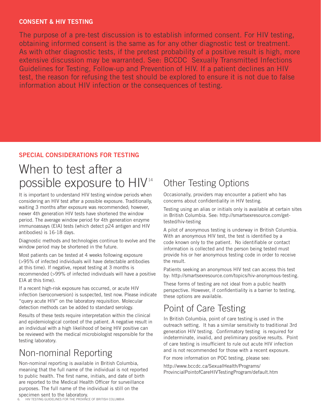## **CONSENT & HIV TESTING**

The purpose of a pre-test discussion is to establish informed consent. For HIV testing, obtaining informed consent is the same as for any other diagnostic test or treatment. As with other diagnostic tests, if the pretest probability of a positive result is high, more extensive discussion may be warranted. See: BCCDC Sexually Transmitted Infections Guidelines for Testing, Follow-up and Prevention of HIV. If a patient declines an HIV test, the reason for refusing the test should be explored to ensure it is not due to false information about HIV infection or the consequences of testing.

## **SPECIAL CONSIDERATIONS FOR TESTING**

# When to test after a possible exposure to HIV 14

It is important to understand HIV testing window periods when considering an HIV test after a possible exposure. Traditionally, waiting 3 months after exposure was recommended; however, newer 4th generation HIV tests have shortened the window period. The average window period for 4th generation enzyme immunoassays (EIA) tests (which detect p24 antigen and HIV antibodies) is 16-18 days.

Diagnostic methods and technologies continue to evolve and the window period may be shortened in the future.

Most patients can be tested at 4 weeks following exposure (>95% of infected individuals will have detectable antibodies at this time). If negative, repeat testing at 3 months is recommended (>99% of infected individuals will have a positive EIA at this time).

If a recent high-risk exposure has occurred, or acute HIV infection (seroconversion) is suspected, test now. Please indicate "query acute HIV" on the laboratory requisition. Molecular detection methods can be added to standard serology.

Results of these tests require interpretation within the clinical and epidemiological context of the patient. A negative result in an individual with a high likelihood of being HIV positive can be reviewed with the medical microbiologist responsible for the testing laboratory.

## Non-nominal Reporting

Non-nominal reporting is available in British Columbia, meaning that the full name of the individual is not reported to public health. The first name, initials, and date of birth are reported to the Medical Health Officer for surveillance purposes. The full name of the individual is still on the specimen sent to the laboratory.

## Other Testing Options

Occasionally, providers may encounter a patient who has concerns about confidentiality in HIV testing.

Testing using an alias or initials only is available at certain sites in British Columbia. See: http://smartsexresource.com/gettested/hiv-testing

A pilot of anonymous testing is underway in British Columbia. With an anonymous HIV test, the test is identified by a code known only to the patient. No identifiable or contact information is collected and the person being tested must provide his or her anonymous testing code in order to receive the result.

Patients seeking an anonymous HIV test can access this test by: http://smartsexresource.com/topics/hiv-anonymous-testing.

These forms of testing are not ideal from a public health perspective. However, if confidentiality is a barrier to testing, these options are available.

## Point of Care Testing

In British Columbia, point of care testing is used in the outreach setting. It has a similar sensitivity to traditional 3rd generation HIV testing. Confirmatory testing is required for indeterminate, invalid, and preliminary positive results. Point of care testing is insufficient to rule out acute HIV infection and is not recommended for those with a recent exposure.

For more information on POC testing, please see:

http://www.bccdc.ca/SexualHealth/Programs/ ProvincialPointofCareHIVTestingProgram/default.htm

6. HIV TESTING GUIDELINES FOR THE PROVINCE OF BRITISH COLUMBIA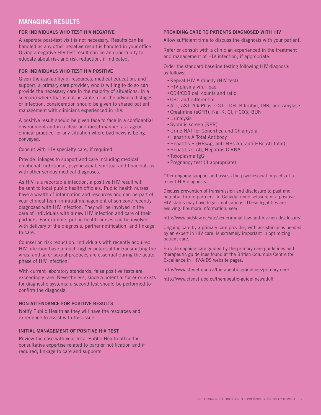## **MANAGING RESULTS**

#### **FOR INDIVIDUALS WHO TEST HIV NEGATIVE**

A separate post-test visit is not necessary. Results can be handled as any other negative result is handled in your office. Giving a negative HIV test result can be an opportunity to educate about risk and risk reduction, if indicated.

#### **FOR INDIVIDUALS WHO TEST HIV POSITIVE**

Given the availability of resources, medical education, and support, a primary care provider, who is willing to do so can provide the necessary care in the majority of situations. In a scenario where that is not possible, or in the advanced stages of infection, consideration should be given to shared patient management with clinicians experienced in HIV.

A positive result should be given face to face in a confidential environment and in a clear and direct manner, as is good clinical practice for any situation where bad news is being conveyed.

Consult with HIV specialty care, if required.

Provide linkages to support and care including medical, emotional, nutritional, psychosocial, spiritual and financial, as with other serious medical diagnoses.

As HIV is a reportable infection, a positive HIV result will be sent to local public health officials. Public health nurses have a wealth of information and resources and can be part of your clinical team in initial management of someone recently diagnosed with HIV infection. They will be involved in the care of individuals with a new HIV infection and care of their partners. For example, public health nurses can be involved with delivery of the diagnosis, partner notification, and linkage to care.

Counsel on risk reduction. Individuals with recently acquired HIV infection have a much higher potential for transmitting the virus, and safer sexual practices are essential during the acute phase of HIV infection.

With current laboratory standards, false positive tests are exceedingly rare. Nevertheless, since a potential for error exists for diagnostic systems, a second test should be performed to confirm the diagnosis.

#### **NON-ATTENDANCE FOR POSITIVE RESULTS**

Notify Public Health as they will have the resources and experience to assist with this issue.

#### **INITIAL MANAGEMENT OF POSITIVE HIV TEST**

Review the case with your local Public Health office for consultative expertise related to partner notification and if required, linkage to care and supports.

#### **PROVIDING CARE TO PATIENTS DIAGNOSED WITH HIV**

Allow sufficient time to discuss the diagnosis with your patient.

Refer or consult with a clinician experienced in the treatment and management of HIV infection, if appropriate.

Order the standard baseline testing following HIV diagnosis as follows:

- Repeat HIV Antibody (HIV test)
- HIV plasma viral load
- CD4/CD8 cell counts and ratio
- CBC and differential
- ALT, AST, Alk Phos, GGT, LDH, Bilirubin, INR, and Amylase
- Creatinine (eGFR), Na, K, Cl, HCO3, BUN
- Urinalysis
- Syphilis screen (RPR)
- Urine NAT for Gonorrhea and Chlamydia
- Hepatitis A Total Antibody
- Hepatitis B (HBsAg, anti-HBs Ab, anti-HBc Ab Total)
- Hepatitis C Ab, Hepatitis C RNA
- Toxoplasma IgG
- Pregnancy test (if appropriate)

Offer ongoing support and assess the psychosocial impacts of a recent HIV diagnosis.

Discuss prevention of transmission and disclosure to past and potential future partners. In Canada, nondisclosure of a positive HIV status may have legal implications. These legalities are evolving. For more information, see:

http://www.aidslaw.ca/site/sex-criminal-law-and-hiv-non-disclosure/

Ongoing care by a primary care provider, with assistance as needed by an expert in HIV care, is extremely important in optimizing patient care.

Provide ongoing care guided by the primary care guidelines and therapeutic guidelines found at the British Columbia Centre for Excellence in HIV/AIDS website pages:

http://www.cfenet.ubc.ca/therapeutic-guidelines/primary-care

http://www.cfenet.ubc.ca/therapeutic-guidelines/adult